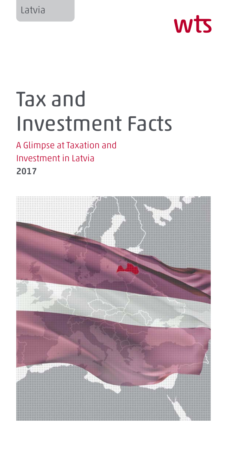

# Tax and Investment Facts

# A Glimpse at Taxation and Investment in Latvia 2017

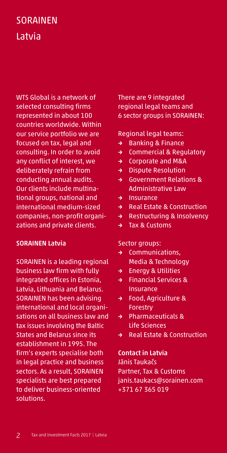# SORAINEN Latvia

WTS Global is a network of selected consulting firms represented in about 100 countries worldwide. Within our service portfolio we are focused on tax, legal and consulting. In order to avoid any conflict of interest, we deliberately refrain from conducting annual audits. Our clients include multinational groups, national and international medium-sized companies, non-profit organizations and private clients.

#### SORAINEN Latvia

SORAINEN is a leading regional business law firm with fully integrated offices in Estonia, Latvia, Lithuania and Belarus. SORAINEN has been advising international and local organisations on all business law and tax issues involving the Baltic States and Belarus since its establishment in 1995. The firm's experts specialise both in legal practice and business sectors. As a result, SORAINEN specialists are best prepared to deliver business-oriented solutions.

There are 9 integrated regional legal teams and 6 sector groups in SORAINEN:

#### Regional legal teams:

- → Banking & Finance
- → Commercial & Regulatory
- → Corporate and M&A
- → Dispute Resolution
- → Government Relations & Administrative Law
- → Insurance
- → Real Estate & Construction
- → Restructuring & Insolvency
- → Tax & Customs

#### Sector groups:

- → Communications, Media & Technology
- → Energy & Utilities
- → Financial Services & Insurance
- → Food, Agriculture & Forestry
- → Pharmaceuticals & Life Sciences
- → Real Estate & Construction

#### Contact in Latvia

Jānis Taukačs Partner, Tax & Customs janis.taukacs@sorainen.com +371 67 365 019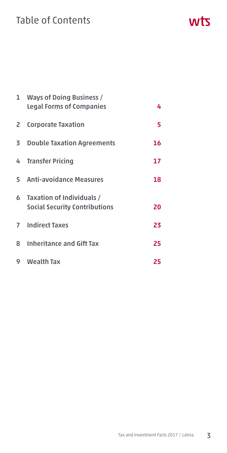# Table of Contents

|   | 1 Ways of Doing Business /<br><b>Legal Forms of Companies</b>       | 4  |
|---|---------------------------------------------------------------------|----|
|   | 2 Corporate Taxation                                                | 5  |
|   | 3 Double Taxation Agreements                                        | 16 |
|   | 4 Transfer Pricing                                                  | 17 |
|   | 5 Anti-avoidance Measures                                           | 18 |
|   | 6 Taxation of Individuals /<br><b>Social Security Contributions</b> | 20 |
|   | <b>7</b> Indirect Taxes                                             | 23 |
|   | 8 Inheritance and Gift Tax                                          | 25 |
| 9 | Wealth Tax                                                          | 25 |

#### Tax and Investment Facts 2017 | Latvia  $3$

wts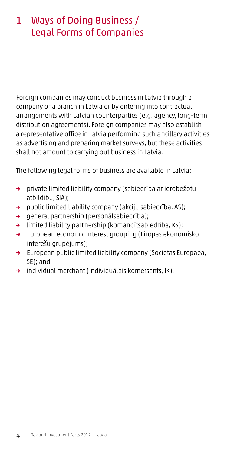# 1 Ways of Doing Business / Legal Forms of Companies

Foreign companies may conduct business in Latvia through a company or a branch in Latvia or by entering into contractual arrangements with Latvian counterparties (e.g. agency, long-term distribution agreements). Foreign companies may also establish a representative office in Latvia performing such ancillary activities as advertising and preparing market surveys, but these activities shall not amount to carrying out business in Latvia.

The following legal forms of business are available in Latvia:

- → private limited liability company (sabiedrība ar ierobežotu atbildību, SIA);
- → public limited liability company (akciju sabiedrība, AS);
- → general partnership (personālsabiedrība);
- → limited liability partnership (komandītsabiedrība, KS);
- → European economic interest grouping (Eiropas ekonomisko interešu grupējums);
- → European public limited liability company (Societas Europaea, SE); and
- → individual merchant (individuālais komersants, IK).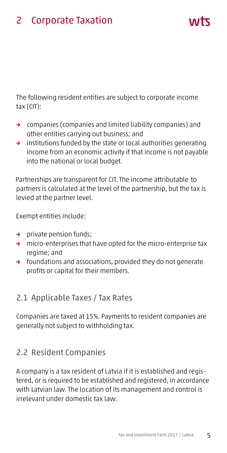The following resident entities are subject to corporate income tax (CIT):

- → companies (companies and limited liability companies) and other entities carrying out business; and
- → institutions funded by the state or local authorities generating income from an economic activity if that income is not payable into the national or local budget.

Partnerships are transparent for CIT. The income attributable to partners is calculated at the level of the partnership, but the tax is levied at the partner level.

Exempt entities include:

- → private pension funds;
- → micro-enterprises that have opted for the micro-enterprise tax regime; and
- → foundations and associations, provided they do not generate profits or capital for their members.

#### 2.1 Applicable Taxes / Tax Rates

Companies are taxed at 15%. Payments to resident companies are generally not subject to withholding tax.

#### 2.2 Resident Companies

A company is a tax resident of Latvia if it is established and registered, or is required to be established and registered, in accordance with Latvian law. The location of its management and control is irrelevant under domestic tax law.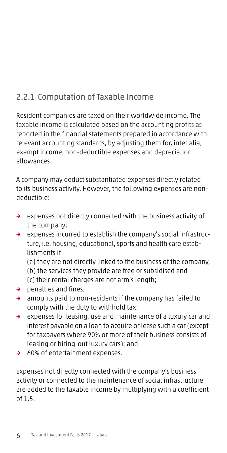# 2.2.1 Computation of Taxable Income

Resident companies are taxed on their worldwide income. The taxable income is calculated based on the accounting profits as reported in the financial statements prepared in accordance with relevant accounting standards, by adjusting them for, inter alia, exempt income, non-deductible expenses and depreciation allowances.

A company may deduct substantiated expenses directly related to its business activity. However, the following expenses are nondeductible:

- → expenses not directly connected with the business activity of the company;
- → expenses incurred to establish the company's social infrastructure, i.e. housing, educational, sports and health care establishments if

(a) they are not directly linked to the business of the company, (b) the services they provide are free or subsidised and (c) their rental charges are not arm's length;

- → penalties and fines;
- → amounts paid to non-residents if the company has failed to comply with the duty to withhold tax;
- → expenses for leasing, use and maintenance of a luxury car and interest payable on a loan to acquire or lease such a car (except for taxpayers where 90% or more of their business consists of leasing or hiring-out luxury cars); and
- → 60% of entertainment expenses.

Expenses not directly connected with the company's business activity or connected to the maintenance of social infrastructure are added to the taxable income by multiplying with a coefficient of 1.5.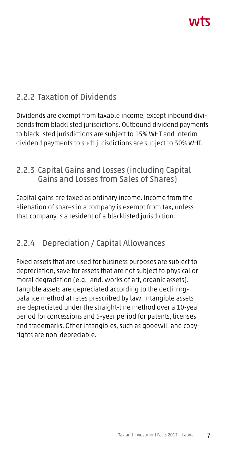# 2.2.2 Taxation of Dividends

Dividends are exempt from taxable income, except inbound dividends from blacklisted jurisdictions. Outbound dividend payments to blacklisted jurisdictions are subject to 15% WHT and interim dividend payments to such jurisdictions are subject to 30% WHT.

#### 2.2.3 Capital Gains and Losses (including Capital Gains and Losses from Sales of Shares)

Capital gains are taxed as ordinary income. Income from the alienation of shares in a company is exempt from tax, unless that company is a resident of a blacklisted jurisdiction.

# 2.2.4 Depreciation / Capital Allowances

Fixed assets that are used for business purposes are subject to depreciation, save for assets that are not subject to physical or moral degradation (e.g. land, works of art, organic assets). Tangible assets are depreciated according to the decliningbalance method at rates prescribed by law. Intangible assets are depreciated under the straight-line method over a 10-year period for concessions and 5-year period for patents, licenses and trademarks. Other intangibles, such as goodwill and copyrights are non-depreciable.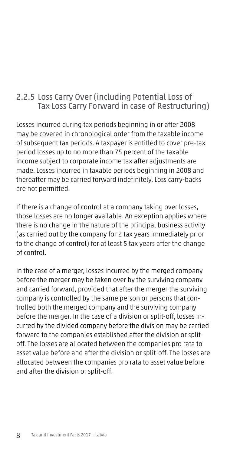#### 2.2.5 Loss Carry Over (including Potential Loss of Tax Loss Carry Forward in case of Restructuring)

Losses incurred during tax periods beginning in or after 2008 may be covered in chronological order from the taxable income of subsequent tax periods. A taxpayer is entitled to cover pre-tax period losses up to no more than 75 percent of the taxable income subject to corporate income tax after adjustments are made. Losses incurred in taxable periods beginning in 2008 and thereafter may be carried forward indefinitely. Loss carry-backs are not permitted.

If there is a change of control at a company taking over losses, those losses are no longer available. An exception applies where there is no change in the nature of the principal business activity (as carried out by the company for 2 tax years immediately prior to the change of control) for at least 5 tax years after the change of control.

In the case of a merger, losses incurred by the merged company before the merger may be taken over by the surviving company and carried forward, provided that after the merger the surviving company is controlled by the same person or persons that controlled both the merged company and the surviving company before the merger. In the case of a division or split-off, losses incurred by the divided company before the division may be carried forward to the companies established after the division or splitoff. The losses are allocated between the companies pro rata to asset value before and after the division or split-off. The losses are allocated between the companies pro rata to asset value before and after the division or split-off.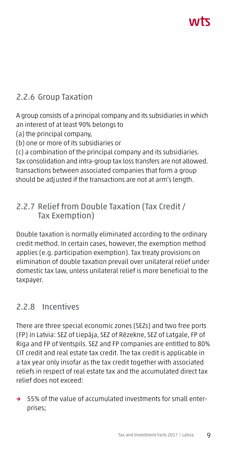# ハバて

# 2.2.6 Group Taxation

A group consists of a principal company and its subsidiaries in which an interest of at least 90% belongs to

(a) the principal company,

(b) one or more of its subsidiaries or

(c) a combination of the principal company and its subsidiaries. Tax consolidation and intra-group tax loss transfers are not allowed. Transactions between associated companies that form a group should be adjusted if the transactions are not at arm's length.

#### 2.2.7 Relief from Double Taxation (Tax Credit / Tax Exemption)

Double taxation is normally eliminated according to the ordinary credit method. In certain cases, however, the exemption method applies (e.g. participation exemption). Tax treaty provisions on elimination of double taxation prevail over unilateral relief under domestic tax law, unless unilateral relief is more beneficial to the taxpayer.

# 2.2.8 Incentives

There are three special economic zones (SEZs) and two free ports (FP) in Latvia: SEZ of Liepāja, SEZ of Rēzekne, SEZ of Latgale, FP of Riga and FP of Ventspils. SEZ and FP companies are entitled to 80% CIT credit and real estate tax credit. The tax credit is applicable in a tax year only insofar as the tax credit together with associated reliefs in respect of real estate tax and the accumulated direct tax relief does not exceed:

→ 55% of the value of accumulated investments for small enterprises;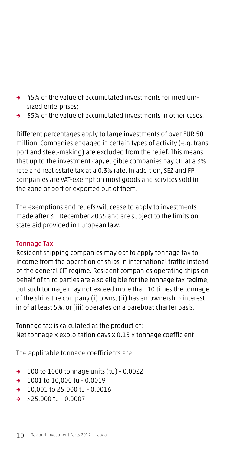- → 45% of the value of accumulated investments for mediumsized enterprises;
- → 35% of the value of accumulated investments in other cases.

Different percentages apply to large investments of over EUR 50 million. Companies engaged in certain types of activity (e.g. transport and steel-making) are excluded from the relief. This means that up to the investment cap, eligible companies pay CIT at a 3% rate and real estate tax at a 0.3% rate. In addition, SEZ and FP companies are VAT-exempt on most goods and services sold in the zone or port or exported out of them.

The exemptions and reliefs will cease to apply to investments made after 31 December 2035 and are subject to the limits on state aid provided in European law.

#### Tonnage Tax

Resident shipping companies may opt to apply tonnage tax to income from the operation of ships in international traffic instead of the general CIT regime. Resident companies operating ships on behalf of third parties are also eligible for the tonnage tax regime, but such tonnage may not exceed more than 10 times the tonnage of the ships the company (i) owns, (ii) has an ownership interest in of at least 5%, or (iii) operates on a bareboat charter basis.

Tonnage tax is calculated as the product of: Net tonnage x exploitation days x 0.15 x tonnage coefficient

The applicable tonnage coefficients are:

- → 100 to 1000 tonnage units (tu) 0.0022
- → 1001 to 10,000 tu 0.0019
- → 10,001 to 25,000 tu 0.0016
- → >25,000 tu 0.0007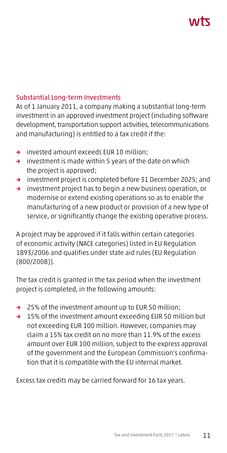# ハバて

#### Substantial Long-term Investments

As of 1 January 2011, a company making a substantial long-term investment in an approved investment project (including software development, transportation support activities, telecommunications and manufacturing) is entitled to a tax credit if the:

- → invested amount exceeds EUR 10 million;
- $\rightarrow$  investment is made within 5 years of the date on which the project is approved;
- → investment project is completed before 31 December 2025; and
- → investment project has to begin a new business operation, or modernise or extend existing operations so as to enable the manufacturing of a new product or provision of a new type of service, or significantly change the existing operative process.

A project may be approved if it falls within certain categories of economic activity (NACE categories) listed in EU Regulation 1893/2006 and qualifies under state aid rules (EU Regulation (800/2008)).

The tax credit is granted in the tax period when the investment project is completed, in the following amounts:

- → 25% of the investment amount up to EUR 50 million;
- → 15% of the investment amount exceeding EUR 50 million but not exceeding EUR 100 million. However, companies may claim a 15% tax credit on no more than 11.9% of the excess amount over EUR 100 million, subject to the express approval of the government and the European Commission's confirmation that it is compatible with the EU internal market.

Excess tax credits may be carried forward for 16 tax years.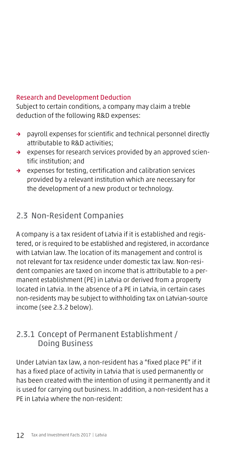#### Research and Development Deduction

Subject to certain conditions, a company may claim a treble deduction of the following R&D expenses:

- → payroll expenses for scientific and technical personnel directly attributable to R&D activities;
- → expenses for research services provided by an approved scientific institution; and
- → expenses for testing, certification and calibration services provided by a relevant institution which are necessary for the development of a new product or technology.

#### 2.3 Non-Resident Companies

A company is a tax resident of Latvia if it is established and registered, or is required to be established and registered, in accordance with Latvian law. The location of its management and control is not relevant for tax residence under domestic tax law. Non-resident companies are taxed on income that is attributable to a permanent establishment (PE) in Latvia or derived from a property located in Latvia. In the absence of a PE in Latvia, in certain cases non-residents may be subject to withholding tax on Latvian-source income (see 2.3.2 below).

#### 2.3.1 Concept of Permanent Establishment / Doing Business

Under Latvian tax law, a non-resident has a "fixed place PE" if it has a fixed place of activity in Latvia that is used permanently or has been created with the intention of using it permanently and it is used for carrying out business. In addition, a non-resident has a PE in Latvia where the non-resident: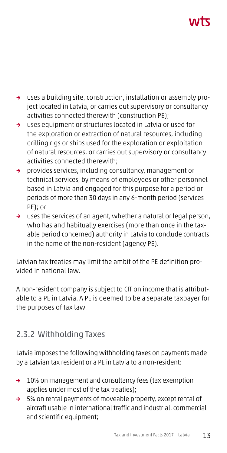# ハバ

- → uses a building site, construction, installation or assembly project located in Latvia, or carries out supervisory or consultancy activities connected therewith (construction PE);
- → uses equipment or structures located in Latvia or used for the exploration or extraction of natural resources, including drilling rigs or ships used for the exploration or exploitation of natural resources, or carries out supervisory or consultancy activities connected therewith;
- → provides services, including consultancy, management or technical services, by means of employees or other personnel based in Latvia and engaged for this purpose for a period or periods of more than 30 days in any 6-month period (services PE); or
- → uses the services of an agent, whether a natural or legal person, who has and habitually exercises (more than once in the taxable period concerned) authority in Latvia to conclude contracts in the name of the non-resident (agency PE).

Latvian tax treaties may limit the ambit of the PE definition provided in national law.

A non-resident company is subject to CIT on income that is attributable to a PE in Latvia. A PE is deemed to be a separate taxpayer for the purposes of tax law.

# 2.3.2 Withholding Taxes

Latvia imposes the following withholding taxes on payments made by a Latvian tax resident or a PE in Latvia to a non-resident:

- → 10% on management and consultancy fees (tax exemption applies under most of the tax treaties);
- → 5% on rental payments of moveable property, except rental of aircraft usable in international traffic and industrial, commercial and scientific equipment;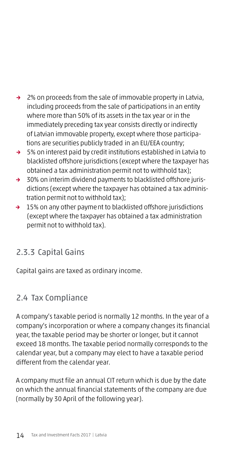- → 2% on proceeds from the sale of immovable property in Latvia, including proceeds from the sale of participations in an entity where more than 50% of its assets in the tax year or in the immediately preceding tax year consists directly or indirectly of Latvian immovable property, except where those participations are securities publicly traded in an EU/EEA country;
- → 5% on interest paid by credit institutions established in Latvia to blacklisted offshore jurisdictions (except where the taxpayer has obtained a tax administration permit not to withhold tax);
- → 30% on interim dividend payments to blacklisted offshore jurisdictions (except where the taxpayer has obtained a tax administration permit not to withhold tax);
- → 15% on any other payment to blacklisted offshore jurisdictions (except where the taxpayer has obtained a tax administration permit not to withhold tax).

# 2.3.3 Capital Gains

Capital gains are taxed as ordinary income.

# 2.4 Tax Compliance

A company's taxable period is normally 12 months. In the year of a company's incorporation or where a company changes its financial year, the taxable period may be shorter or longer, but it cannot exceed 18 months. The taxable period normally corresponds to the calendar year, but a company may elect to have a taxable period different from the calendar year.

A company must file an annual CIT return which is due by the date on which the annual financial statements of the company are due (normally by 30 April of the following year).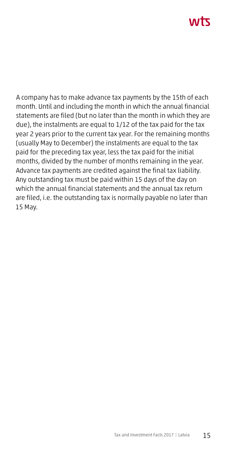# ハバて

A company has to make advance tax payments by the 15th of each month. Until and including the month in which the annual financial statements are filed (but no later than the month in which they are due), the instalments are equal to 1/12 of the tax paid for the tax year 2 years prior to the current tax year. For the remaining months (usually May to December) the instalments are equal to the tax paid for the preceding tax year, less the tax paid for the initial months, divided by the number of months remaining in the year. Advance tax payments are credited against the final tax liability. Any outstanding tax must be paid within 15 days of the day on which the annual financial statements and the annual tax return are filed, i.e. the outstanding tax is normally payable no later than 15 May.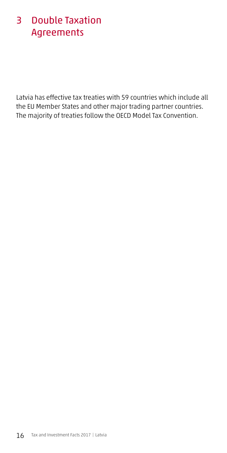# 3 Double Taxation Agreements

Latvia has effective tax treaties with 59 countries which include all the EU Member States and other major trading partner countries. The majority of treaties follow the OECD Model Tax Convention.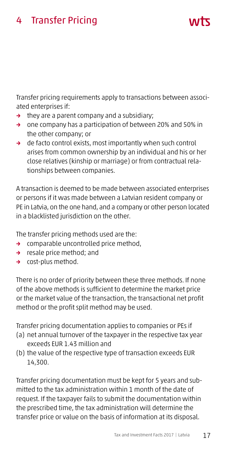# 4 Transfer Pricing

Transfer pricing requirements apply to transactions between associated enterprises if:

ハバて

- $\rightarrow$  they are a parent company and a subsidiary;
- → one company has a participation of between 20% and 50% in the other company; or
- → de facto control exists, most importantly when such control arises from common ownership by an individual and his or her close relatives (kinship or marriage) or from contractual relationships between companies.

A transaction is deemed to be made between associated enterprises or persons if it was made between a Latvian resident company or PE in Latvia, on the one hand, and a company or other person located in a blacklisted jurisdiction on the other.

The transfer pricing methods used are the:

- → comparable uncontrolled price method,
- → resale price method; and
- → cost-plus method.

There is no order of priority between these three methods. If none of the above methods is sufficient to determine the market price or the market value of the transaction, the transactional net profit method or the profit split method may be used.

Transfer pricing documentation applies to companies or PEs if

- (a) net annual turnover of the taxpayer in the respective tax year exceeds EUR 1.43 million and
- (b) the value of the respective type of transaction exceeds EUR 14,300.

Transfer pricing documentation must be kept for 5 years and submitted to the tax administration within 1 month of the date of request. If the taxpayer fails to submit the documentation within the prescribed time, the tax administration will determine the transfer price or value on the basis of information at its disposal.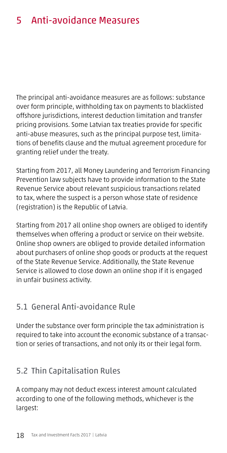# 5 Anti-avoidance Measures

The principal anti-avoidance measures are as follows: substance over form principle, withholding tax on payments to blacklisted offshore jurisdictions, interest deduction limitation and transfer pricing provisions. Some Latvian tax treaties provide for specific anti-abuse measures, such as the principal purpose test, limitations of benefits clause and the mutual agreement procedure for granting relief under the treaty.

Starting from 2017, all Money Laundering and Terrorism Financing Prevention law subjects have to provide information to the State Revenue Service about relevant suspicious transactions related to tax, where the suspect is a person whose state of residence (registration) is the Republic of Latvia.

Starting from 2017 all online shop owners are obliged to identify themselves when offering a product or service on their website. Online shop owners are obliged to provide detailed information about purchasers of online shop goods or products at the request of the State Revenue Service. Additionally, the State Revenue Service is allowed to close down an online shop if it is engaged in unfair business activity.

#### 5.1 General Anti-avoidance Rule

Under the substance over form principle the tax administration is required to take into account the economic substance of a transaction or series of transactions, and not only its or their legal form.

# 5.2 Thin Capitalisation Rules

A company may not deduct excess interest amount calculated according to one of the following methods, whichever is the largest: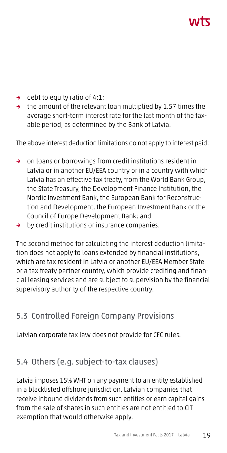# **AITT**

- → debt to equity ratio of 4:1;
- $\rightarrow$  the amount of the relevant loan multiplied by 1.57 times the average short-term interest rate for the last month of the taxable period, as determined by the Bank of Latvia.

The above interest deduction limitations do not apply to interest paid:

- → on loans or borrowings from credit institutions resident in Latvia or in another EU/EEA country or in a country with which Latvia has an effective tax treaty, from the World Bank Group, the State Treasury, the Development Finance Institution, the Nordic Investment Bank, the European Bank for Reconstruction and Development, the European Investment Bank or the Council of Europe Development Bank; and
- → by credit institutions or insurance companies.

The second method for calculating the interest deduction limitation does not apply to loans extended by financial institutions, which are tax resident in Latvia or another EU/EEA Member State or a tax treaty partner country, which provide crediting and financial leasing services and are subject to supervision by the financial supervisory authority of the respective country.

# 5.3 Controlled Foreign Company Provisions

Latvian corporate tax law does not provide for CFC rules.

#### 5.4 Others (e.g. subject-to-tax clauses)

Latvia imposes 15% WHT on any payment to an entity established in a blacklisted offshore jurisdiction. Latvian companies that receive inbound dividends from such entities or earn capital gains from the sale of shares in such entities are not entitled to CIT exemption that would otherwise apply.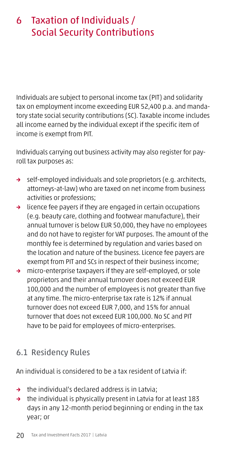# 6 Taxation of Individuals / Social Security Contributions

Individuals are subject to personal income tax (PIT) and solidarity tax on employment income exceeding EUR 52,400 p.a. and mandatory state social security contributions (SC). Taxable income includes all income earned by the individual except if the specific item of income is exempt from PIT.

Individuals carrying out business activity may also register for payroll tax purposes as:

- → self-employed individuals and sole proprietors (e.g. architects, attorneys-at-law) who are taxed on net income from business activities or professions;
- → licence fee payers if they are engaged in certain occupations (e.g. beauty care, clothing and footwear manufacture), their annual turnover is below EUR 50,000, they have no employees and do not have to register for VAT purposes. The amount of the monthly fee is determined by regulation and varies based on the location and nature of the business. Licence fee payers are exempt from PIT and SCs in respect of their business income;
- → micro-enterprise taxpayers if they are self-employed, or sole proprietors and their annual turnover does not exceed EUR 100,000 and the number of employees is not greater than five at any time. The micro-enterprise tax rate is 12% if annual turnover does not exceed EUR 7,000, and 15% for annual turnover that does not exceed EUR 100,000. No SC and PIT have to be paid for employees of micro-enterprises.

# 6.1 Residency Rules

An individual is considered to be a tax resident of Latvia if:

- → the individual's declared address is in Latvia;
- → the individual is physically present in Latvia for at least 183 days in any 12-month period beginning or ending in the tax year; or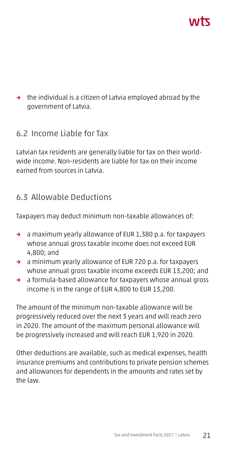→ the individual is a citizen of Latvia employed abroad by the government of Latvia.

#### 6.2 Income Liable for Tax

Latvian tax residents are generally liable for tax on their worldwide income. Non-residents are liable for tax on their income earned from sources in Latvia.

#### 6.3 Allowable Deductions

Taxpayers may deduct minimum non-taxable allowances of:

- → a maximum yearly allowance of EUR 1,380 p.a. for taxpayers whose annual gross taxable income does not exceed EUR 4,800; and
- → a minimum yearly allowance of EUR 720 p.a. for taxpayers whose annual gross taxable income exceeds EUR 13,200; and
- → a formula-based allowance for taxpayers whose annual gross income is in the range of EUR 4,800 to EUR 13,200.

The amount of the minimum non-taxable allowance will be progressively reduced over the next 3 years and will reach zero in 2020. The amount of the maximum personal allowance will be progressively increased and will reach EUR 1,920 in 2020.

Other deductions are available, such as medical expenses, health insurance premiums and contributions to private pension schemes and allowances for dependents in the amounts and rates set by the law.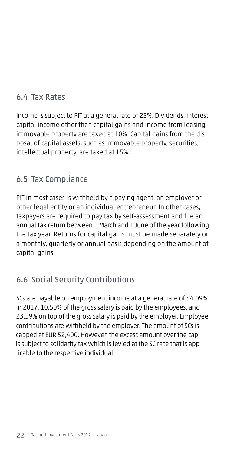# 6.4 Tax Rates

Income is subject to PIT at a general rate of 23%. Dividends, interest, capital income other than capital gains and income from leasing immovable property are taxed at 10%. Capital gains from the disposal of capital assets, such as immovable property, securities, intellectual property, are taxed at 15%.

# 6.5 Tax Compliance

PIT in most cases is withheld by a paying agent, an employer or other legal entity or an individual entrepreneur. In other cases, taxpayers are required to pay tax by self-assessment and file an annual tax return between 1 March and 1 June of the year following the tax year. Returns for capital gains must be made separately on a monthly, quarterly or annual basis depending on the amount of capital gains.

# 6.6 Social Security Contributions

SCs are payable on employment income at a general rate of 34.09%. In 2017, 10.50% of the gross salary is paid by the employees, and 23.59% on top of the gross salary is paid by the employer. Employee contributions are withheld by the employer. The amount of SCs is capped at EUR 52,400. However, the excess amount over the cap is subject to solidarity tax which is levied at the SC rate that is applicable to the respective individual.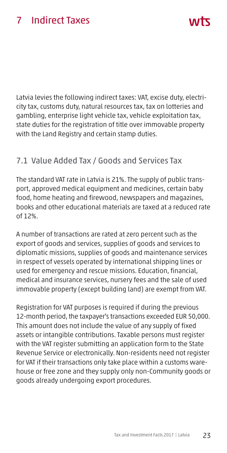# 7 Indirect Taxes

Latvia levies the following indirect taxes: VAT, excise duty, electricity tax, customs duty, natural resources tax, tax on lotteries and gambling, enterprise light vehicle tax, vehicle exploitation tax, state duties for the registration of title over immovable property with the Land Registry and certain stamp duties.

ハバて

# 7.1 Value Added Tax / Goods and Services Tax

The standard VAT rate in Latvia is 21%. The supply of public transport, approved medical equipment and medicines, certain baby food, home heating and firewood, newspapers and magazines, books and other educational materials are taxed at a reduced rate of 12%.

A number of transactions are rated at zero percent such as the export of goods and services, supplies of goods and services to diplomatic missions, supplies of goods and maintenance services in respect of vessels operated by international shipping lines or used for emergency and rescue missions. Education, financial, medical and insurance services, nursery fees and the sale of used immovable property (except building land) are exempt from VAT.

Registration for VAT purposes is required if during the previous 12-month period, the taxpayer's transactions exceeded EUR 50,000. This amount does not include the value of any supply of fixed assets or intangible contributions. Taxable persons must register with the VAT register submitting an application form to the State Revenue Service or electronically. Non-residents need not register for VAT if their transactions only take place within a customs warehouse or free zone and they supply only non-Community goods or goods already undergoing export procedures.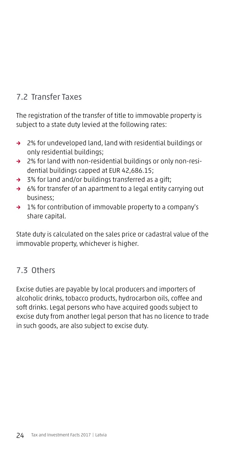# 7.2 Transfer Taxes

The registration of the transfer of title to immovable property is subject to a state duty levied at the following rates:

- → 2% for undeveloped land, land with residential buildings or only residential buildings;
- → 2% for land with non-residential buildings or only non-residential buildings capped at EUR 42,686.15;
- → 3% for land and/or buildings transferred as a gift;
- → 6% for transfer of an apartment to a legal entity carrying out business;
- → 1% for contribution of immovable property to a company's share capital.

State duty is calculated on the sales price or cadastral value of the immovable property, whichever is higher.

# 7.3 Others

Excise duties are payable by local producers and importers of alcoholic drinks, tobacco products, hydrocarbon oils, coffee and soft drinks. Legal persons who have acquired goods subject to excise duty from another legal person that has no licence to trade in such goods, are also subject to excise duty.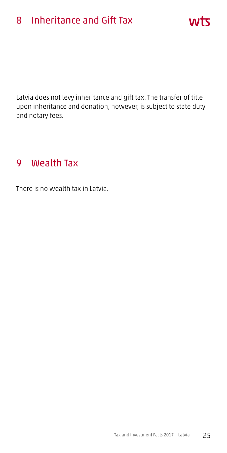# 8 Inheritance and Gift Tax

Latvia does not levy inheritance and gift tax. The transfer of title upon inheritance and donation, however, is subject to state duty and notary fees.

wts

# 9 Wealth Tax

There is no wealth tax in Latvia.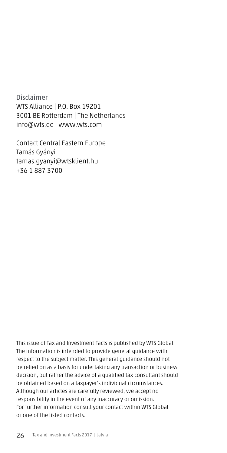Disclaimer WTS Alliance | P.O. Box 19201 3001 BE Rotterdam | The Netherlands info@wts.de | www.wts.com

Contact Central Eastern Europe Tamás Gyányi tamas.gyanyi@wtsklient.hu +36 1 887 3700

This issue of Tax and Investment Facts is published by WTS Global. The information is intended to provide general guidance with respect to the subject matter. This general guidance should not be relied on as a basis for undertaking any transaction or business decision, but rather the advice of a qualified tax consultant should be obtained based on a taxpayer's individual circumstances. Although our articles are carefully reviewed, we accept no responsibility in the event of any inaccuracy or omission. For further information consult your contact within WTS Global or one of the listed contacts.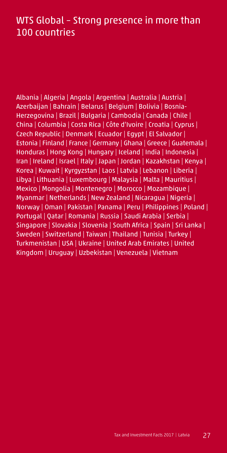# WTS Global – Strong presence in more than 100 countries

Albania | Algeria | Angola | Argentina | Australia | Austria | Azerbaijan | Bahrain | Belarus | Belgium | Bolivia | Bosnia-Herzegovina | Brazil | Bulgaria | Cambodia | Canada | Chile | China | Columbia | Costa Rica | Côte d'Ivoire | Croatia | Cyprus | Czech Republic | Denmark | Ecuador | Egypt | El Salvador | Estonia | Finland | France | Germany | Ghana | Greece | Guatemala | Honduras | Hong Kong | Hungary | Iceland | India | Indonesia | Iran | Ireland | Israel | Italy | Japan | Jordan | Kazakhstan | Kenya | Korea | Kuwait | Kyrgyzstan | Laos | Latvia | Lebanon | Liberia | Libya | Lithuania | Luxembourg | Malaysia | Malta | Mauritius | Mexico | Mongolia | Montenegro | Morocco | Mozambique | Myanmar | Netherlands | New Zealand | Nicaragua | Nigeria | Norway | Oman | Pakistan | Panama | Peru | Philippines | Poland | Portugal | Qatar | Romania | Russia | Saudi Arabia | Serbia | Singapore | Slovakia | Slovenia | South Africa | Spain | Sri Lanka | Sweden | Switzerland | Taiwan | Thailand | Tunisia | Turkey | Turkmenistan | USA | Ukraine | United Arab Emirates | United Kingdom | Uruguay | Uzbekistan | Venezuela | Vietnam